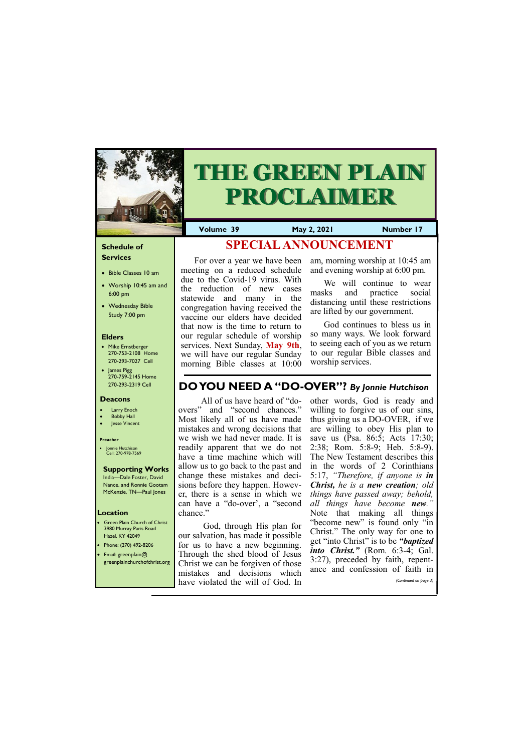

# **THE GREEN PLAIN PROCLAIMER**

#### **Schedule of Services**

- Bible Classes 10 am
- Worship 10:45 am and 6:00 pm
- Wednesday Bible Study 7:00 pm

#### **Elders**

- Mike Ernstberger 270-753-2108 Home 270-293-7027 Cell
- James Pigg 270-759-2145 Home 270-293-2319 Cell

- **Green Plain Church of Christ** 3980 Murray Paris Road Hazel, KY 42049
- Phone: (270) 492-8206 • Email: greenplain@ greenplainchurchofchrist.org

#### **Location**

**Volume 39 May 2, 2021 Number 17**

#### **Deacons**

- **Larry Enoch**
- **Bobby Hall**
- Jesse Vincent

#### **Preacher**

• Jonnie Hutchison Cell: 270-978-7569

#### **Supporting Works**

India—Dale Foster, David Nance. and Ronnie Gootam McKenzie, TN—Paul Jones

For over a year we have been meeting on a reduced schedule due to the Covid-19 virus. With the reduction of new cases statewide and many in the congregation having received the vaccine our elders have decided that now is the time to return to our regular schedule of worship services. Next Sunday, **May 9th**, we will have our regular Sunday morning Bible classes at 10:00

am, morning worship at 10:45 am and evening worship at 6:00 pm.

We will continue to wear masks and practice social distancing until these restrictions are lifted by our government.

God continues to bless us in so many ways. We look forward to seeing each of you as we return to our regular Bible classes and worship services.

### **SPECIAL ANNOUNCEMENT**

### **DO YOU NEED A "DO-OVER"?** *By Jonnie Hutchison*

All of us have heard of "doovers" and "second chances." Most likely all of us have made mistakes and wrong decisions that we wish we had never made. It is readily apparent that we do not have a time machine which will allow us to go back to the past and change these mistakes and decisions before they happen. However, there is a sense in which we can have a "do-over', a "second chance."

God, through His plan for our salvation, has made it possible for us to have a new beginning. Through the shed blood of Jesus Christ we can be forgiven of those mistakes and decisions which have violated the will of God. In Christ." The only way for one to get "into Christ" is to be *"baptized into Christ."* (Rom. 6:3-4; Gal. 3:27), preceded by faith, repentance and confession of faith in *(Continued on page 3)*

other words, God is ready and willing to forgive us of our sins, thus giving us a DO-OVER, if we are willing to obey His plan to save us (Psa. 86:5; Acts 17:30; 2:38; Rom. 5:8-9; Heb. 5:8-9). The New Testament describes this in the words of 2 Corinthians 5:17, *"Therefore, if anyone is in Christ, he is a new creation; old things have passed away; behold, all things have become new."*  Note that making all things "become new" is found only "in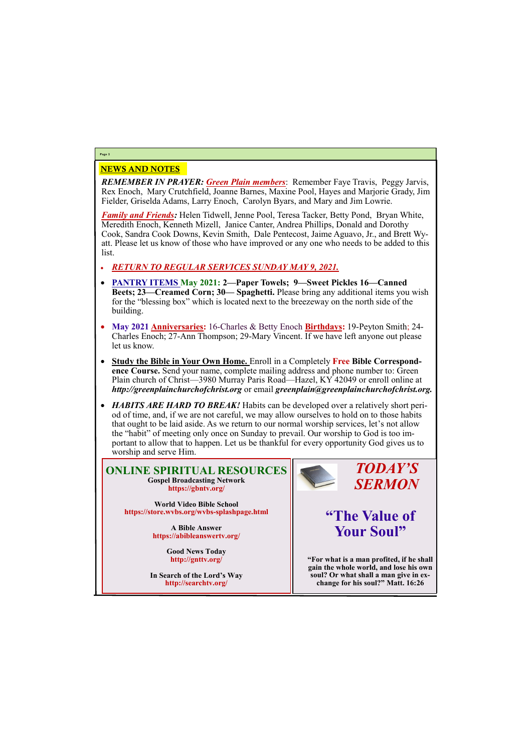#### NEWS AND NOTES

*REMEMBER IN PRAYER: Green Plain members*: Remember Faye Travis, Peggy Jarvis, Rex Enoch, Mary Crutchfield, Joanne Barnes, Maxine Pool, Hayes and Marjorie Grady, Jim Fielder, Griselda Adams, Larry Enoch, Carolyn Byars, and Mary and Jim Lowrie.

*Family and Friends:* Helen Tidwell, Jenne Pool, Teresa Tacker, Betty Pond, Bryan White, Meredith Enoch, Kenneth Mizell, Janice Canter, Andrea Phillips, Donald and Dorothy Cook, Sandra Cook Downs, Kevin Smith, Dale Pentecost, Jaime Aguavo, Jr., and Brett Wyatt. Please let us know of those who have improved or any one who needs to be added to this list.

- *RETURN TO REGULAR SERVICES SUNDAY MAY 9, 2021.*
- **PANTRY ITEMS May 2021: 2—Paper Towels; 9—Sweet Pickles 16—Canned Beets; 23—Creamed Corn; 30— Spaghetti.** Please bring any additional items you wish for the "blessing box" which is located next to the breezeway on the north side of the building.
- **May 2021 Anniversaries:** 16-Charles & Betty Enoch **Birthdays:** 19-Peyton Smith; 24- Charles Enoch; 27-Ann Thompson; 29-Mary Vincent. If we have left anyone out please let us know.
- **Study the Bible in Your Own Home.** Enroll in a Completely **Free Bible Correspondence Course.** Send your name, complete mailing address and phone number to: Green Plain church of Christ—3980 Murray Paris Road—Hazel, KY 42049 or enroll online at *http://greenplainchurchofchrist.org* or email *greenplain@greenplainchurchofchrist.org.*
- *HABITS ARE HARD TO BREAK!* Habits can be developed over a relatively short period of time, and, if we are not careful, we may allow ourselves to hold on to those habits that ought to be laid aside. As we return to our normal worship services, let's not allow the "habit" of meeting only once on Sunday to prevail. Our worship to God is too important to allow that to happen. Let us be thankful for every opportunity God gives us to worship and serve Him.

#### **Page 2**

#### **ONLINE SPIRITUAL RESOURCES Gospel Broadcasting Network https://gbntv.org/**

**World Video Bible School https://store.wvbs.org/wvbs-splashpage.html**

> **A Bible Answer https://abibleanswertv.org/**

> > **Good News Today http://gnttv.org/**



**In Search of the Lord's Way http://searchtv.org/**

### *TODAY'S SERMON*

## **"The Value of Your Soul"**

**"For what is a man profited, if he shall gain the whole world, and lose his own soul? Or what shall a man give in exchange for his soul?" Matt. 16:26**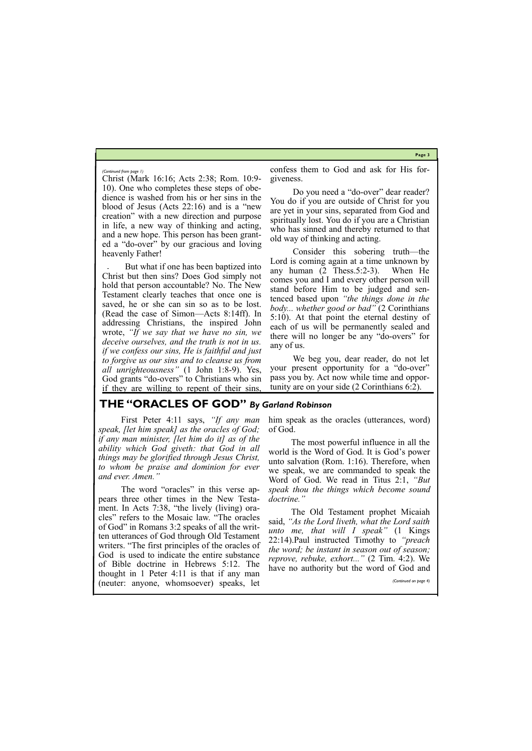**Page 3**

Christ (Mark 16:16; Acts 2:38; Rom. 10:9- 10). One who completes these steps of obedience is washed from his or her sins in the blood of Jesus (Acts 22:16) and is a "new creation" with a new direction and purpose in life, a new way of thinking and acting, and a new hope. This person has been granted a "do-over" by our gracious and loving heavenly Father!

But what if one has been baptized into Christ but then sins? Does God simply not hold that person accountable? No. The New Testament clearly teaches that once one is saved, he or she can sin so as to be lost. (Read the case of Simon—Acts 8:14ff). In addressing Christians, the inspired John wrote, *"If we say that we have no sin, we deceive ourselves, and the truth is not in us. if we confess our sins, He is faithful and just to forgive us our sins and to cleanse us from all unrighteousness"* (1 John 1:8-9). Yes, God grants "do-overs" to Christians who sin if they are willing to repent of their sins,

confess them to God and ask for His forgiveness.

Do you need a "do-over" dear reader? You do if you are outside of Christ for you are yet in your sins, separated from God and spiritually lost. You do if you are a Christian who has sinned and thereby returned to that old way of thinking and acting.

The word "oracles" in this verse appears three other times in the New Testament. In Acts 7:38, "the lively (living) oracles" refers to the Mosaic law. "The oracles of God" in Romans 3:2 speaks of all the written utterances of God through Old Testament writers. "The first principles of the oracles of God is used to indicate the entire substance of Bible doctrine in Hebrews 5:12. The

Consider this sobering truth—the Lord is coming again at a time unknown by any human (2 Thess.5:2-3). When He comes you and I and every other person will stand before Him to be judged and sentenced based upon *"the things done in the body... whether good or bad"* (2 Corinthians 5:10). At that point the eternal destiny of each of us will be permanently sealed and there will no longer be any "do-overs" for any of us.

We beg you, dear reader, do not let your present opportunity for a "do-over" pass you by. Act now while time and opportunity are on your side (2 Corinthians 6:2).

*(Continued from page 1)*

#### **THE "ORACLES OF GOD"** *By Garland Robinson*

First Peter 4:11 says, *"If any man speak, [let him speak] as the oracles of God; if any man minister, [let him do it] as of the ability which God giveth: that God in all things may be glorified through Jesus Christ, to whom be praise and dominion for ever and ever. Amen."* 

him speak as the oracles (utterances, word) of God.

The most powerful influence in all the world is the Word of God. It is God's power unto salvation (Rom. 1:16). Therefore, when we speak, we are commanded to speak the Word of God. We read in Titus 2:1, *"But speak thou the things which become sound doctrine."* 

|                                            | of Bloie doctrine in Hebrews 3.12. The have no authority but the word of God and |
|--------------------------------------------|----------------------------------------------------------------------------------|
| thought in 1 Peter 4:11 is that if any man |                                                                                  |
| (neuter: anyone, whomsoever) speaks, let   | (Continued on page 4)                                                            |
|                                            |                                                                                  |

The Old Testament prophet Micaiah said, *"As the Lord liveth, what the Lord saith unto me, that will I speak"* (1 Kings 22:14).Paul instructed Timothy to *"preach the word; be instant in season out of season; reprove, rebuke, exhort..."* (2 Tim. 4:2). We